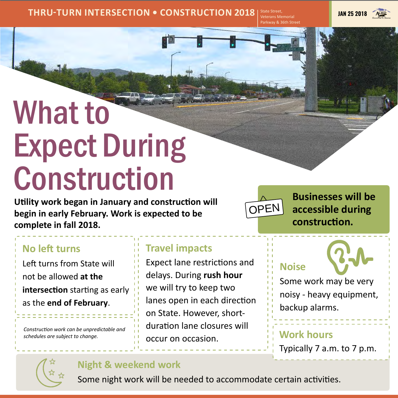### **THRU-TURN INTERSECTION • CONSTRUCTION 2018** State Street, JAN 25 2018

Veterans Memorial Parkway & 36th Street



# What to Expect During Construction

### **Travel impacts**

Expect lane restrictions and delays. During **rush hour**  we will try to keep two lanes open in each direction on State. However, shortduration lane closures will occur on occasion.

**Utility work began in January and construction will** 

**begin in early February. Work is expected to be complete in fall 2018.**

## **No left turns**

Left turns from State will not be allowed **at the** 

**intersection** starting as early as the **end of February**.

Typically 7 a.m. to 7 p.m.



**Work hours Noise** Some work may be very noisy - heavy equipment, backup alarms.

### **Night & weekend work**

Some night work will be needed to accommodate certain activities.

*Construction work can be unpredictable and schedules are subject to change.*

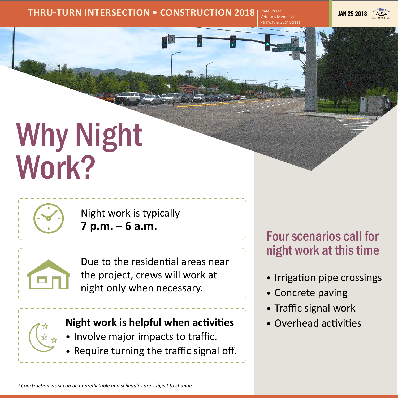## Why Night Work?



### **THRU-TURN INTERSECTION • CONSTRUCTION 2018 State Street, <b>State Street,** State Street, State Street, State Street, State Street, State Street, State Street, State Street, State Street, State Street, State Street, State

Veterans Memorial Parkway & 36th Street



Due to the residential areas near the project, crews will work at night only when necessary.



Four scenarios call for night work at this time

- Irrigation pipe crossings
- Concrete paving
- Traffic signal work
- Overhead activities

*\*Construction work can be unpredictable and schedules are subject to change.*

Night work is typically **7 p.m. – 6 a.m.**



## **Night work is helpful when activities**

- Involve major impacts to traffic.
- Require turning the traffic signal off.